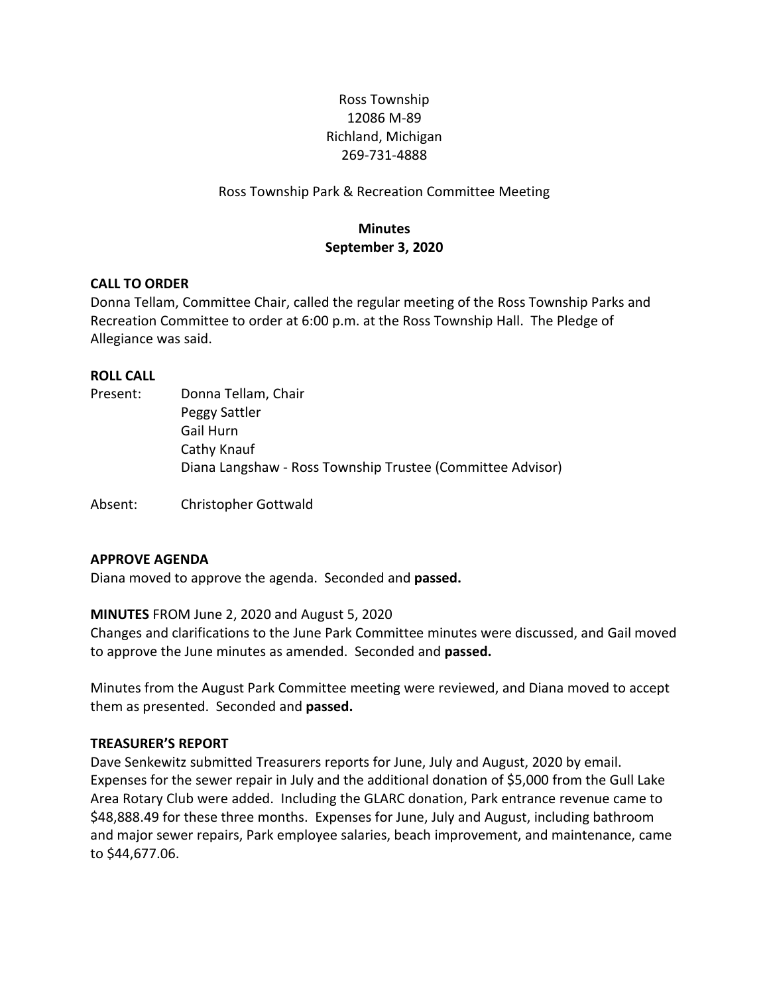# Ross Township 12086 M-89 Richland, Michigan 269-731-4888

Ross Township Park & Recreation Committee Meeting

# **Minutes September 3, 2020**

### **CALL TO ORDER**

Donna Tellam, Committee Chair, called the regular meeting of the Ross Township Parks and Recreation Committee to order at 6:00 p.m. at the Ross Township Hall. The Pledge of Allegiance was said.

## **ROLL CALL**

| Present: | Donna Tellam, Chair                                        |
|----------|------------------------------------------------------------|
|          | Peggy Sattler                                              |
|          | Gail Hurn                                                  |
|          | Cathy Knauf                                                |
|          | Diana Langshaw - Ross Township Trustee (Committee Advisor) |
|          |                                                            |

Absent: Christopher Gottwald

### **APPROVE AGENDA**

Diana moved to approve the agenda. Seconded and **passed.**

### **MINUTES** FROM June 2, 2020 and August 5, 2020

Changes and clarifications to the June Park Committee minutes were discussed, and Gail moved to approve the June minutes as amended. Seconded and **passed.**

Minutes from the August Park Committee meeting were reviewed, and Diana moved to accept them as presented. Seconded and **passed.**

### **TREASURER'S REPORT**

Dave Senkewitz submitted Treasurers reports for June, July and August, 2020 by email. Expenses for the sewer repair in July and the additional donation of \$5,000 from the Gull Lake Area Rotary Club were added. Including the GLARC donation, Park entrance revenue came to \$48,888.49 for these three months. Expenses for June, July and August, including bathroom and major sewer repairs, Park employee salaries, beach improvement, and maintenance, came to \$44,677.06.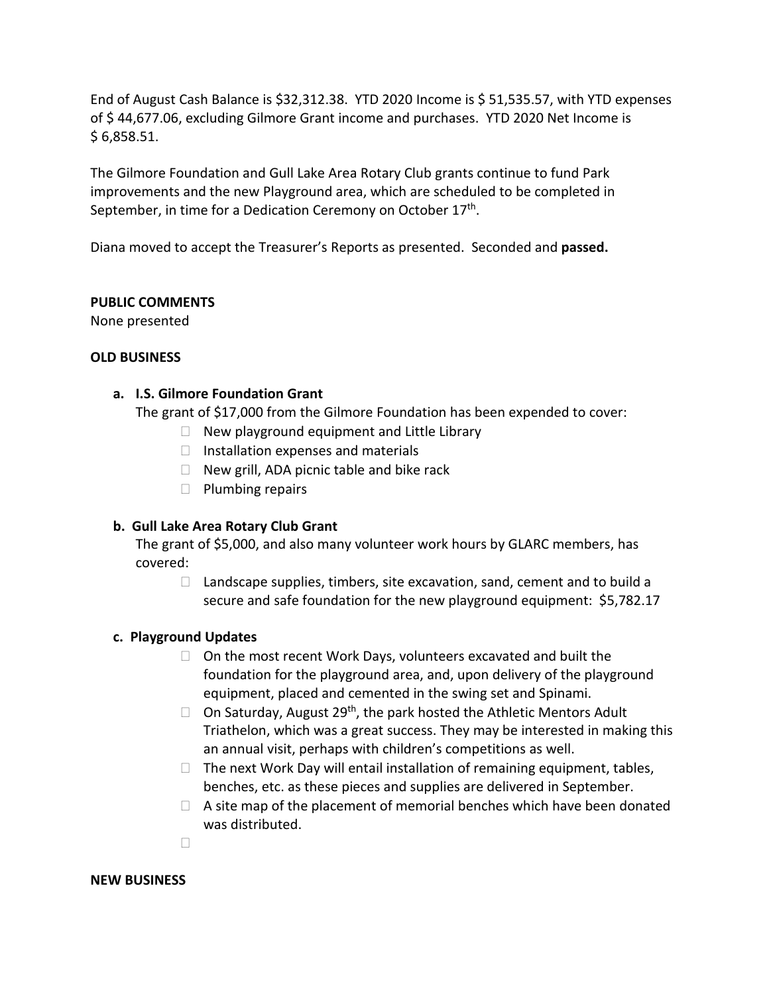End of August Cash Balance is \$32,312.38. YTD 2020 Income is \$ 51,535.57, with YTD expenses of \$ 44,677.06, excluding Gilmore Grant income and purchases. YTD 2020 Net Income is \$ 6,858.51.

The Gilmore Foundation and Gull Lake Area Rotary Club grants continue to fund Park improvements and the new Playground area, which are scheduled to be completed in September, in time for a Dedication Ceremony on October 17<sup>th</sup>.

Diana moved to accept the Treasurer's Reports as presented. Seconded and **passed.**

### **PUBLIC COMMENTS**

None presented

## **OLD BUSINESS**

## **a. I.S. Gilmore Foundation Grant**

The grant of \$17,000 from the Gilmore Foundation has been expended to cover:

- $\Box$  New playground equipment and Little Library
- $\Box$  Installation expenses and materials
- $\Box$  New grill, ADA picnic table and bike rack
- $\Box$  Plumbing repairs

## **b. Gull Lake Area Rotary Club Grant**

The grant of \$5,000, and also many volunteer work hours by GLARC members, has covered:

 $\Box$  Landscape supplies, timbers, site excavation, sand, cement and to build a secure and safe foundation for the new playground equipment: \$5,782.17

## **c. Playground Updates**

- $\Box$  On the most recent Work Days, volunteers excavated and built the foundation for the playground area, and, upon delivery of the playground equipment, placed and cemented in the swing set and Spinami.
- $\Box$  On Saturday, August 29<sup>th</sup>, the park hosted the Athletic Mentors Adult Triathelon, which was a great success. They may be interested in making this an annual visit, perhaps with children's competitions as well.
- $\Box$  The next Work Day will entail installation of remaining equipment, tables, benches, etc. as these pieces and supplies are delivered in September.
- $\Box$  A site map of the placement of memorial benches which have been donated was distributed.

 $\Box$ 

### **NEW BUSINESS**